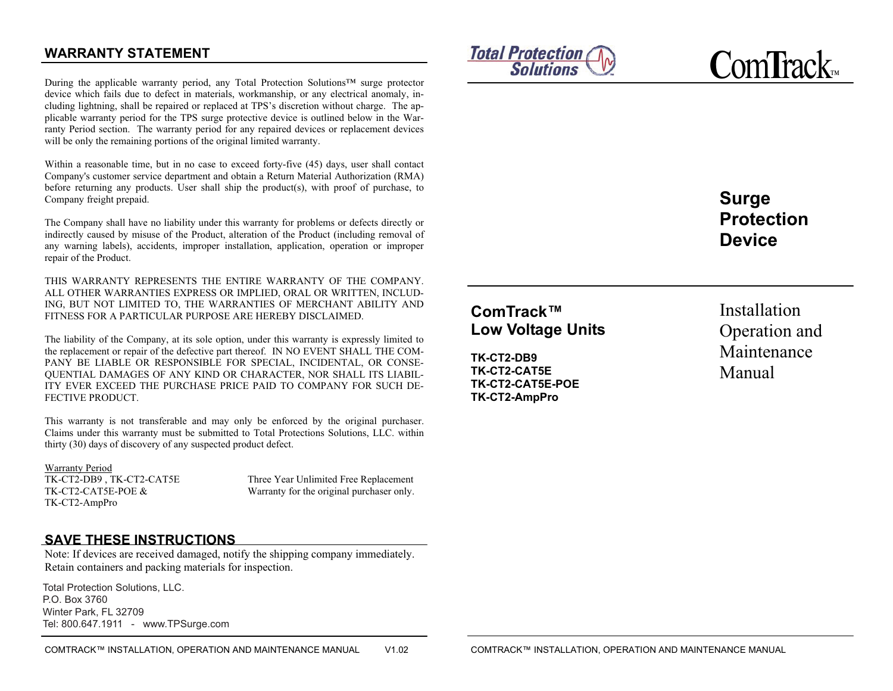### **WARRANTY STATEMENT**

During the applicable warranty period, any Total Protection Solutions™ surge protector device which fails due to defect in materials, workmanship, or any electrical anomaly, including lightning, shall be repaired or replaced at TPS's discretion without charge. The applicable warranty period for the TPS surge protective device is outlined below in the Warranty Period section. The warranty period for any repaired devices or replacement devices will be only the remaining portions of the original limited warranty.

Within a reasonable time, but in no case to exceed forty-five (45) days, user shall contact Company's customer service department and obtain a Return Material Authorization (RMA) before returning any products. User shall ship the product(s), with proof of purchase, to Company freight prepaid.

The Company shall have no liability under this warranty for problems or defects directly or indirectly caused by misuse of the Product, alteration of the Product (including removal of any warning labels), accidents, improper installation, application, operation or improper repair of the Product.

THIS WARRANTY REPRESENTS THE ENTIRE WARRANTY OF THE COMPANY. ALL OTHER WARRANTIES EXPRESS OR IMPLIED, ORAL OR WRITTEN, INCLUD-ING, BUT NOT LIMITED TO, THE WARRANTIES OF MERCHANT ABILITY AND FITNESS FOR A PARTICULAR PURPOSE ARE HEREBY DISCLAIMED.

The liability of the Company, at its sole option, under this warranty is expressly limited to the replacement or repair of the defective part thereof. IN NO EVENT SHALL THE COM-PANY BE LIABLE OR RESPONSIBLE FOR SPECIAL, INCIDENTAL, OR CONSE-QUENTIAL DAMAGES OF ANY KIND OR CHARACTER, NOR SHALL ITS LIABIL-ITY EVER EXCEED THE PURCHASE PRICE PAID TO COMPANY FOR SUCH DE-FECTIVE PRODUCT.

This warranty is not transferable and may only be enforced by the original purchaser. Claims under this warranty must be submitted to Total Protections Solutions, LLC. within thirty (30) days of discovery of any suspected product defect.

Warranty Period TK-CT2-DB9 , TK-CT2-CAT5E Three Year Unlimited Free Replacement TK-CT2-AmpPro

TK-CT2-CAT5E-POE & Warranty for the original purchaser only.

### **SAVE THESE INSTRUCTIONS**

Note: If devices are received damaged, notify the shipping company immediately. Retain containers and packing materials for inspection.

Total Protection Solutions, LLC. P.O. Box 3760 4366 L.B. McLeod Rd., Orlando, FL 32811 Winter Park, FL 32709 white. Flant, FL 62766<br>Tel: 800.647.1911 - www.TPSurge.com Total Protection Solutions, LLC.



**C**om**T**rack™

**Surge Protection Device** 

# **ComTrack™ Low Voltage Units**

**TK-CT2-DB9 TK-CT2-CAT5E TK-CT2-CAT5E-POE TK-CT2-AmpPro** 

Installation Operation and Maintenance Manual